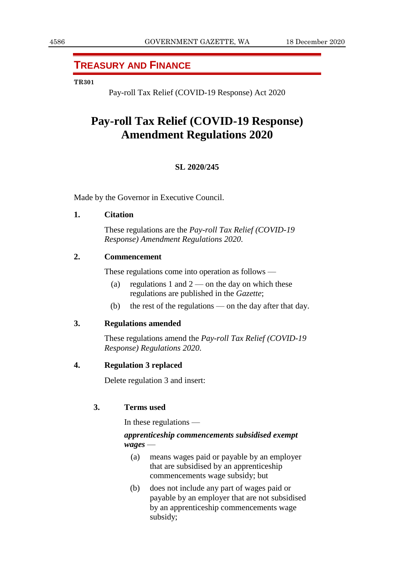## **TREASURY AND FINANCE**

#### **TR301**

Pay-roll Tax Relief (COVID-19 Response) Act 2020

# **Pay-roll Tax Relief (COVID-19 Response) Amendment Regulations 2020**

#### **SL 2020/245**

Made by the Governor in Executive Council.

#### **1. Citation**

These regulations are the *Pay-roll Tax Relief (COVID-19 Response) Amendment Regulations 2020*.

## **2. Commencement**

These regulations come into operation as follows —

- (a) regulations 1 and  $2$  on the day on which these regulations are published in the *Gazette*;
- (b) the rest of the regulations on the day after that day.

## **3. Regulations amended**

These regulations amend the *Pay-roll Tax Relief (COVID-19 Response) Regulations 2020*.

#### **4. Regulation 3 replaced**

Delete regulation 3 and insert:

## **3. Terms used**

In these regulations —

## *apprenticeship commencements subsidised exempt wages* —

- (a) means wages paid or payable by an employer that are subsidised by an apprenticeship commencements wage subsidy; but
- (b) does not include any part of wages paid or payable by an employer that are not subsidised by an apprenticeship commencements wage subsidy;